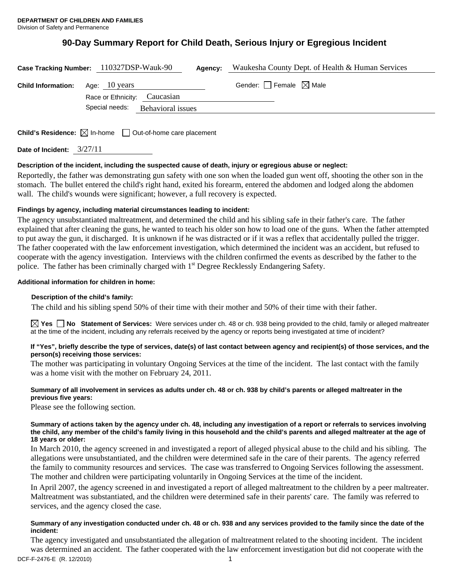# **90-Day Summary Report for Child Death, Serious Injury or Egregious Incident**

| Case Tracking Number: 110327DSP-Wauk-90 |                |                              | Agency: | Waukesha County Dept. of Health & Human Services |
|-----------------------------------------|----------------|------------------------------|---------|--------------------------------------------------|
| <b>Child Information:</b>               | Age: 10 years  | Race or Ethnicity: Caucasian |         | Gender: Female $\boxtimes$ Male                  |
|                                         | Special needs: | Behavioral issues            |         |                                                  |
|                                         |                |                              |         |                                                  |

**Child's Residence:**  $\boxtimes$  In-home  $\Box$  Out-of-home care placement

**Date of Incident:** 3/27/11

# **Description of the incident, including the suspected cause of death, injury or egregious abuse or neglect:**

Reportedly, the father was demonstrating gun safety with one son when the loaded gun went off, shooting the other son in the stomach. The bullet entered the child's right hand, exited his forearm, entered the abdomen and lodged along the abdomen wall. The child's wounds were significant; however, a full recovery is expected.

# **Findings by agency, including material circumstances leading to incident:**

The agency unsubstantiated maltreatment, and determined the child and his sibling safe in their father's care. The father explained that after cleaning the guns, he wanted to teach his older son how to load one of the guns. When the father attempted to put away the gun, it discharged. It is unknown if he was distracted or if it was a reflex that accidentally pulled the trigger. The father cooperated with the law enforcement investigation, which determined the incident was an accident, but refused to cooperate with the agency investigation. Interviews with the children confirmed the events as described by the father to the police. The father has been criminally charged with 1<sup>st</sup> Degree Recklessly Endangering Safety.

# **Additional information for children in home:**

# **Description of the child's family:**

The child and his sibling spend 50% of their time with their mother and 50% of their time with their father.

**Yes No Statement of Services:** Were services under ch. 48 or ch. 938 being provided to the child, family or alleged maltreater at the time of the incident, including any referrals received by the agency or reports being investigated at time of incident?

## **If "Yes", briefly describe the type of services, date(s) of last contact between agency and recipient(s) of those services, and the person(s) receiving those services:**

The mother was participating in voluntary Ongoing Services at the time of the incident. The last contact with the family was a home visit with the mother on February 24, 2011.

## **Summary of all involvement in services as adults under ch. 48 or ch. 938 by child's parents or alleged maltreater in the previous five years:**

Please see the following section.

## **Summary of actions taken by the agency under ch. 48, including any investigation of a report or referrals to services involving the child, any member of the child's family living in this household and the child's parents and alleged maltreater at the age of 18 years or older:**

In March 2010, the agency screened in and investigated a report of alleged physical abuse to the child and his sibling. The allegations were unsubstantiated, and the children were determined safe in the care of their parents. The agency referred the family to community resources and services. The case was transferred to Ongoing Services following the assessment. The mother and children were participating voluntarily in Ongoing Services at the time of the incident.

In April 2007, the agency screened in and investigated a report of alleged maltreatment to the children by a peer maltreater. Maltreatment was substantiated, and the children were determined safe in their parents' care. The family was referred to services, and the agency closed the case.

# **Summary of any investigation conducted under ch. 48 or ch. 938 and any services provided to the family since the date of the incident:**

DCF-F-2476-E (R. 12/2010) 1 The agency investigated and unsubstantiated the allegation of maltreatment related to the shooting incident. The incident was determined an accident. The father cooperated with the law enforcement investigation but did not cooperate with the